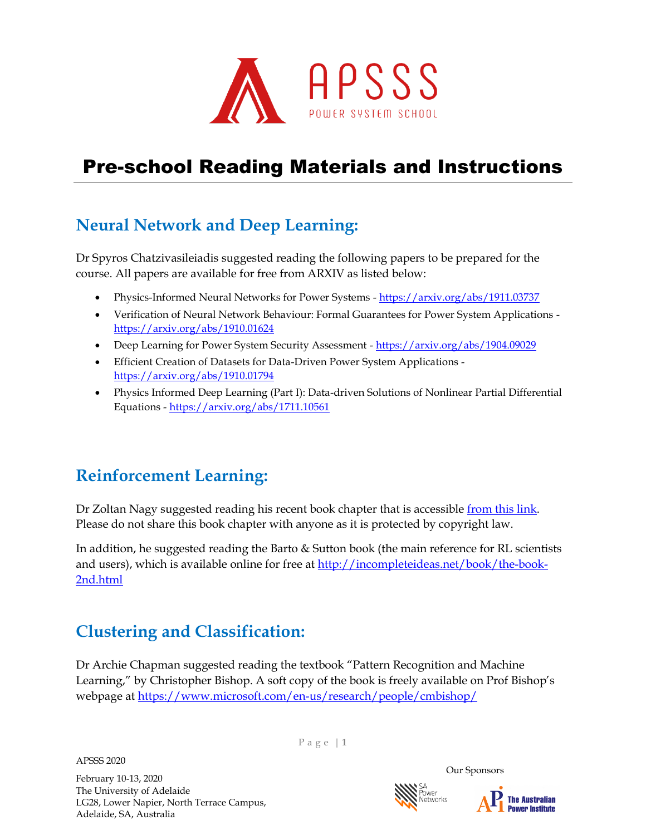

### **Neural Network and Deep Learning:**

Dr Spyros Chatzivasileiadis suggested reading the following papers to be prepared for the course. All papers are available for free from ARXIV as listed below:

- Physics-Informed Neural Networks for Power Systems <https://arxiv.org/abs/1911.03737>
- Verification of Neural Network Behaviour: Formal Guarantees for Power System Applications <https://arxiv.org/abs/1910.01624>
- Deep Learning for Power System Security Assessment <https://arxiv.org/abs/1904.09029>
- Efficient Creation of Datasets for Data-Driven Power System Applications <https://arxiv.org/abs/1910.01794>
- Physics Informed Deep Learning (Part I): Data-driven Solutions of Nonlinear Partial Differential Equations - <https://arxiv.org/abs/1711.10561>

#### **Reinforcement Learning:**

Dr Zoltan Nagy suggested reading his recent book chapter that is accessibl[e from this link.](https://4a0229c3-192f-4383-ab33-f63d366d7b2f.usrfiles.com/ugd/4a0229_dbe1c300d77048d8aa685e0259e63a7e.pdf) Please do not share this book chapter with anyone as it is protected by copyright law.

In addition, he suggested reading the Barto & Sutton book (the main reference for RL scientists and users), which is available online for free at [http://incompleteideas.net/book/the-book-](http://incompleteideas.net/book/the-book-2nd.html)[2nd.html](http://incompleteideas.net/book/the-book-2nd.html)

#### **Clustering and Classification:**

Dr Archie Chapman suggested reading the textbook "Pattern Recognition and Machine Learning," by Christopher Bishop. A soft copy of the book is freely available on Prof Bishop's webpage at <https://www.microsoft.com/en-us/research/people/cmbishop/>

APSSS 2020

February 10-13, 2020 The University of Adelaide LG28, Lower Napier, North Terrace Campus, Adelaide, SA, Australia

P a g e | **1**



Our Sponsors

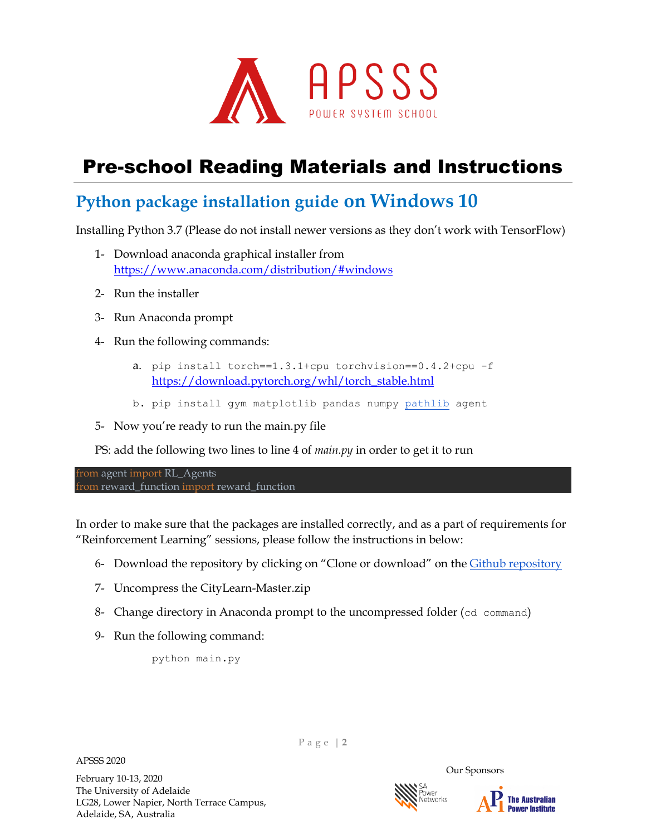

### **Python package installation guide on Windows 10**

Installing Python 3.7 (Please do not install newer versions as they don't work with TensorFlow)

- 1- Download anaconda graphical installer from <https://www.anaconda.com/distribution/#windows>
- 2- Run the installer
- 3- Run Anaconda prompt
- 4- Run the following commands:
	- a. pip install torch==1.3.1+cpu torchvision==0.4.2+cpu -f [https://download.pytorch.org/whl/torch\\_stable.html](https://download.pytorch.org/whl/torch_stable.html)
	- b. pip install gym matplotlib pandas numpy [pathlib](https://pypi.org/project/pathlib/) agent
- 5- Now you're ready to run the main.py file

PS: add the following two lines to line 4 of *main.py* in order to get it to run

from agent import RL\_Agents from reward function import reward function

In order to make sure that the packages are installed correctly, and as a part of requirements for "Reinforcement Learning" sessions, please follow the instructions in below:

- 6- Download the repository by clicking on "Clone or download" on the [Github repository](https://github.com/intelligent-environments-lab/CityLearn)
- 7- Uncompress the CityLearn-Master.zip
- 8- Change directory in Anaconda prompt to the uncompressed folder (cd command)
- 9- Run the following command:

python main.py

P a g e | **2**



APSSS 2020

Our Sponsors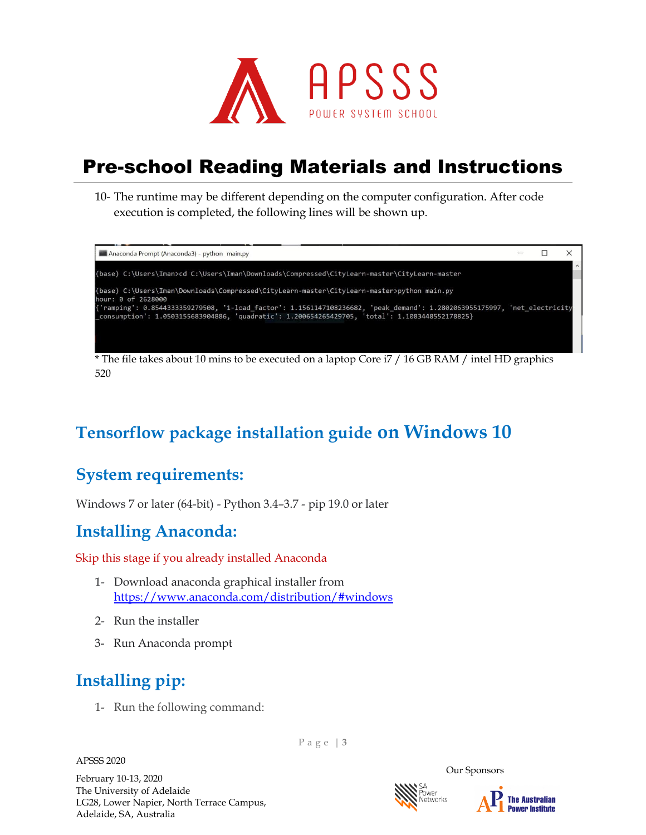

10- The runtime may be different depending on the computer configuration. After code execution is completed, the following lines will be shown up.



\* The file takes about 10 mins to be executed on a laptop Core i7 / 16 GB RAM / intel HD graphics 520

# **Tensorflow package installation guide on Windows 10**

#### **System requirements:**

Windows 7 or later (64-bit) - Python 3.4–3.7 - pip 19.0 or later

#### **Installing Anaconda:**

Skip this stage if you already installed Anaconda

- 1- Download anaconda graphical installer from <https://www.anaconda.com/distribution/#windows>
- 2- Run the installer
- 3- Run Anaconda prompt

# **Installing pip:**

1- Run the following command:

APSSS 2020

February 10-13, 2020 The University of Adelaide LG28, Lower Napier, North Terrace Campus, Adelaide, SA, Australia

P a g e | **3**



Our Sponsors